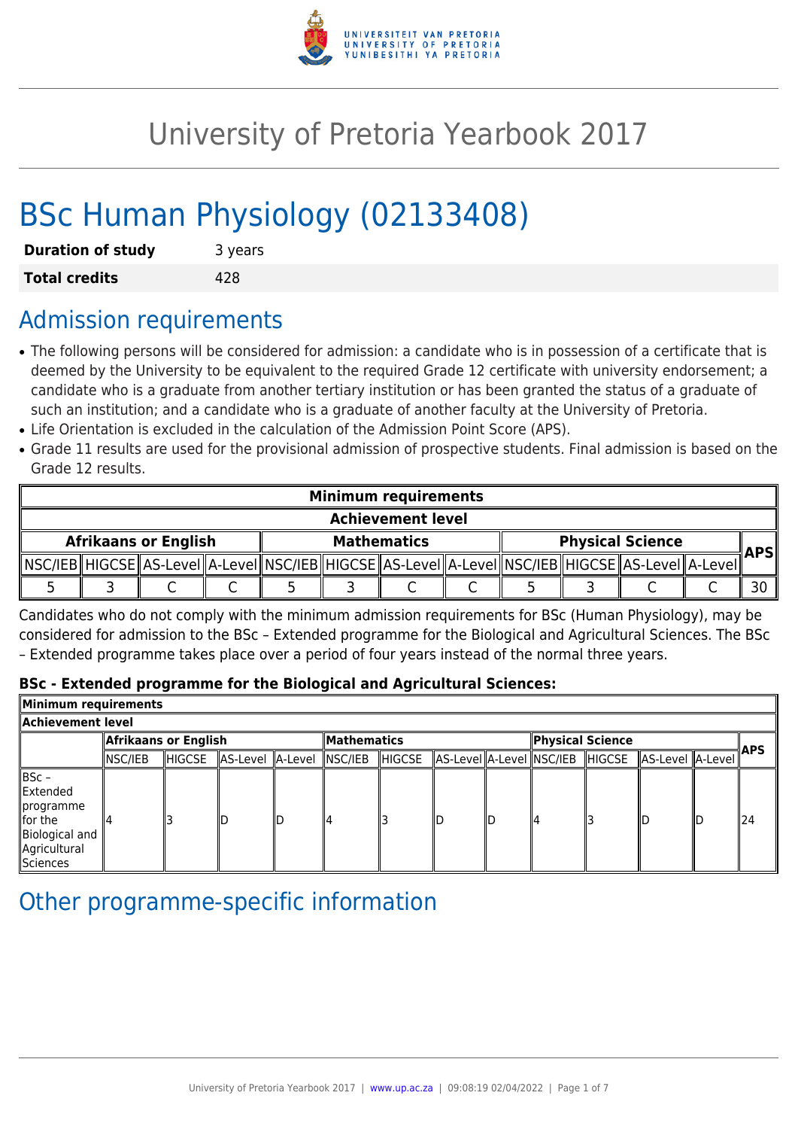

# University of Pretoria Yearbook 2017

# BSc Human Physiology (02133408)

| <b>Duration of study</b> | 3 years |
|--------------------------|---------|
| <b>Total credits</b>     | 428     |

## Admission requirements

- The following persons will be considered for admission: a candidate who is in possession of a certificate that is deemed by the University to be equivalent to the required Grade 12 certificate with university endorsement; a candidate who is a graduate from another tertiary institution or has been granted the status of a graduate of such an institution; and a candidate who is a graduate of another faculty at the University of Pretoria.
- Life Orientation is excluded in the calculation of the Admission Point Score (APS).
- Grade 11 results are used for the provisional admission of prospective students. Final admission is based on the Grade 12 results.

| <b>Minimum requirements</b> |  |  |  |                    |  |  |  |                         |  |                                                                                                            |  |     |
|-----------------------------|--|--|--|--------------------|--|--|--|-------------------------|--|------------------------------------------------------------------------------------------------------------|--|-----|
| <b>Achievement level</b>    |  |  |  |                    |  |  |  |                         |  |                                                                                                            |  |     |
| <b>Afrikaans or English</b> |  |  |  | <b>Mathematics</b> |  |  |  | <b>Physical Science</b> |  |                                                                                                            |  |     |
|                             |  |  |  |                    |  |  |  |                         |  | NSC/IEB  HIGCSE  AS-Level  A-Level  NSC/IEB  HIGCSE  AS-Level  A-Level  NSC/IEB  HIGCSE  AS-Level  A-Level |  | APS |
|                             |  |  |  |                    |  |  |  |                         |  |                                                                                                            |  |     |

Candidates who do not comply with the minimum admission requirements for BSc (Human Physiology), may be considered for admission to the BSc – Extended programme for the Biological and Agricultural Sciences. The BSc – Extended programme takes place over a period of four years instead of the normal three years.

#### **BSc - Extended programme for the Biological and Agricultural Sciences:**

| Minimum requirements                                                                        |                      |        |                          |    |                    |        |  |    |                  |  |                                                          |  |            |
|---------------------------------------------------------------------------------------------|----------------------|--------|--------------------------|----|--------------------|--------|--|----|------------------|--|----------------------------------------------------------|--|------------|
| Achievement level                                                                           |                      |        |                          |    |                    |        |  |    |                  |  |                                                          |  |            |
|                                                                                             | Afrikaans or English |        |                          |    | <b>Mathematics</b> |        |  |    | Physical Science |  |                                                          |  |            |
|                                                                                             | NSC/IEB              | HIGCSE | AS-Level A-Level NSC/IEB |    |                    | HIGCSE |  |    |                  |  | AS-Level  A-Level  NSC/IEB   HIGCSE   AS-Level   A-Level |  | <b>APS</b> |
| ∥BSc –<br>Extended<br>∥programme<br>llfor the<br>Biological and<br>Agricultural<br>Sciences |                      |        | IΓ.                      | ID |                    |        |  | ID | ll4              |  | IIF.                                                     |  | 124        |

# Other programme-specific information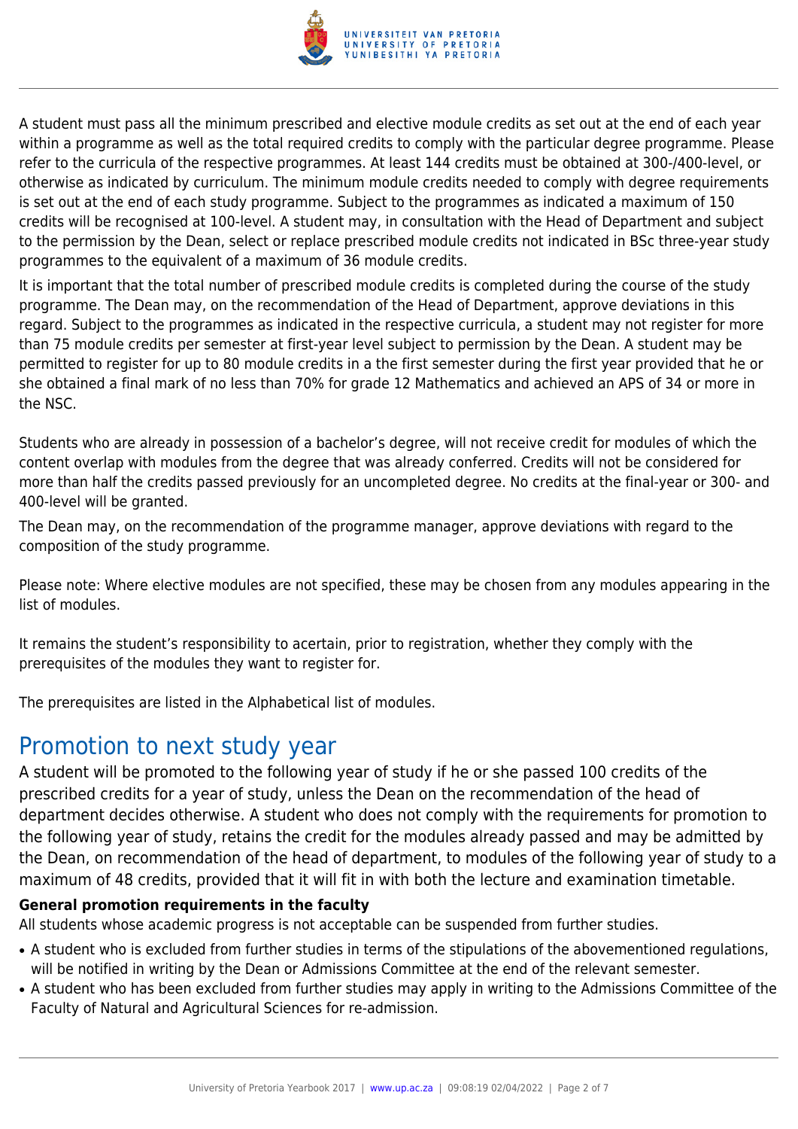

A student must pass all the minimum prescribed and elective module credits as set out at the end of each year within a programme as well as the total required credits to comply with the particular degree programme. Please refer to the curricula of the respective programmes. At least 144 credits must be obtained at 300-/400-level, or otherwise as indicated by curriculum. The minimum module credits needed to comply with degree requirements is set out at the end of each study programme. Subject to the programmes as indicated a maximum of 150 credits will be recognised at 100-level. A student may, in consultation with the Head of Department and subject to the permission by the Dean, select or replace prescribed module credits not indicated in BSc three-year study programmes to the equivalent of a maximum of 36 module credits.

It is important that the total number of prescribed module credits is completed during the course of the study programme. The Dean may, on the recommendation of the Head of Department, approve deviations in this regard. Subject to the programmes as indicated in the respective curricula, a student may not register for more than 75 module credits per semester at first-year level subject to permission by the Dean. A student may be permitted to register for up to 80 module credits in a the first semester during the first year provided that he or she obtained a final mark of no less than 70% for grade 12 Mathematics and achieved an APS of 34 or more in the NSC.

Students who are already in possession of a bachelor's degree, will not receive credit for modules of which the content overlap with modules from the degree that was already conferred. Credits will not be considered for more than half the credits passed previously for an uncompleted degree. No credits at the final-year or 300- and 400-level will be granted.

The Dean may, on the recommendation of the programme manager, approve deviations with regard to the composition of the study programme.

Please note: Where elective modules are not specified, these may be chosen from any modules appearing in the list of modules.

It remains the student's responsibility to acertain, prior to registration, whether they comply with the prerequisites of the modules they want to register for.

The prerequisites are listed in the Alphabetical list of modules.

## Promotion to next study year

A student will be promoted to the following year of study if he or she passed 100 credits of the prescribed credits for a year of study, unless the Dean on the recommendation of the head of department decides otherwise. A student who does not comply with the requirements for promotion to the following year of study, retains the credit for the modules already passed and may be admitted by the Dean, on recommendation of the head of department, to modules of the following year of study to a maximum of 48 credits, provided that it will fit in with both the lecture and examination timetable.

### **General promotion requirements in the faculty**

All students whose academic progress is not acceptable can be suspended from further studies.

- A student who is excluded from further studies in terms of the stipulations of the abovementioned regulations, will be notified in writing by the Dean or Admissions Committee at the end of the relevant semester.
- A student who has been excluded from further studies may apply in writing to the Admissions Committee of the Faculty of Natural and Agricultural Sciences for re-admission.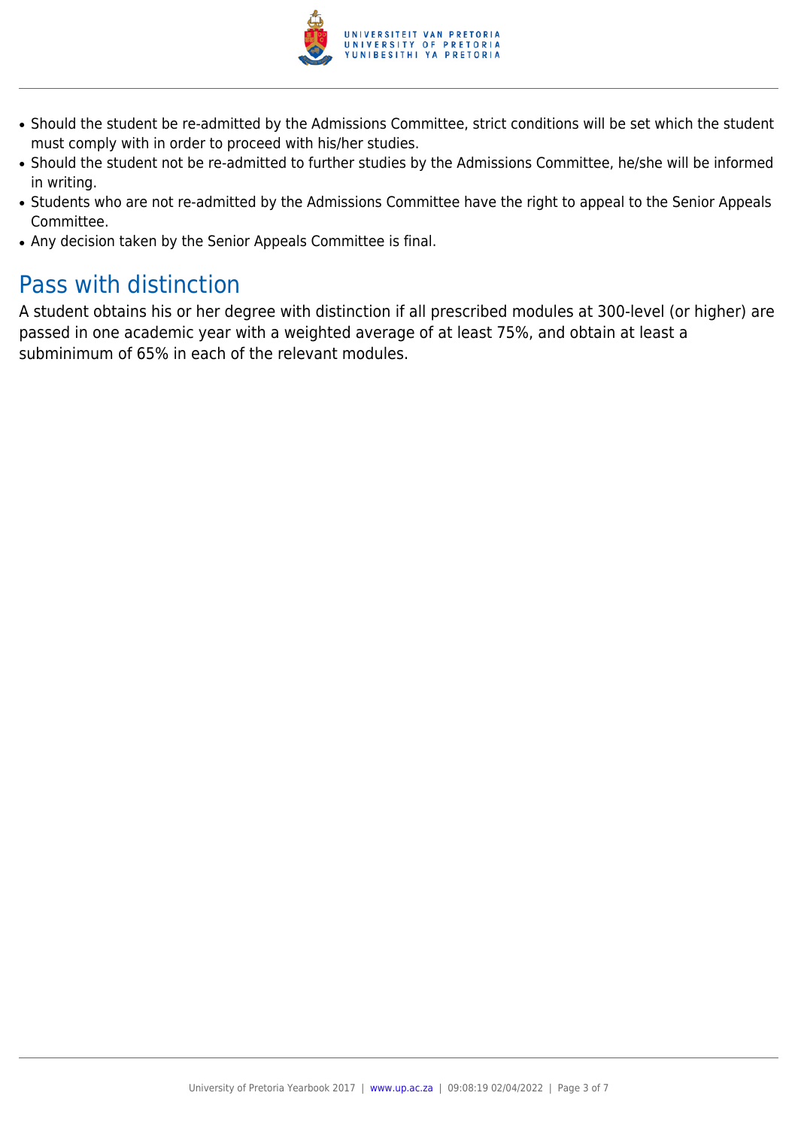

- Should the student be re-admitted by the Admissions Committee, strict conditions will be set which the student must comply with in order to proceed with his/her studies.
- Should the student not be re-admitted to further studies by the Admissions Committee, he/she will be informed in writing.
- Students who are not re-admitted by the Admissions Committee have the right to appeal to the Senior Appeals Committee.
- Any decision taken by the Senior Appeals Committee is final.

# Pass with distinction

A student obtains his or her degree with distinction if all prescribed modules at 300-level (or higher) are passed in one academic year with a weighted average of at least 75%, and obtain at least a subminimum of 65% in each of the relevant modules.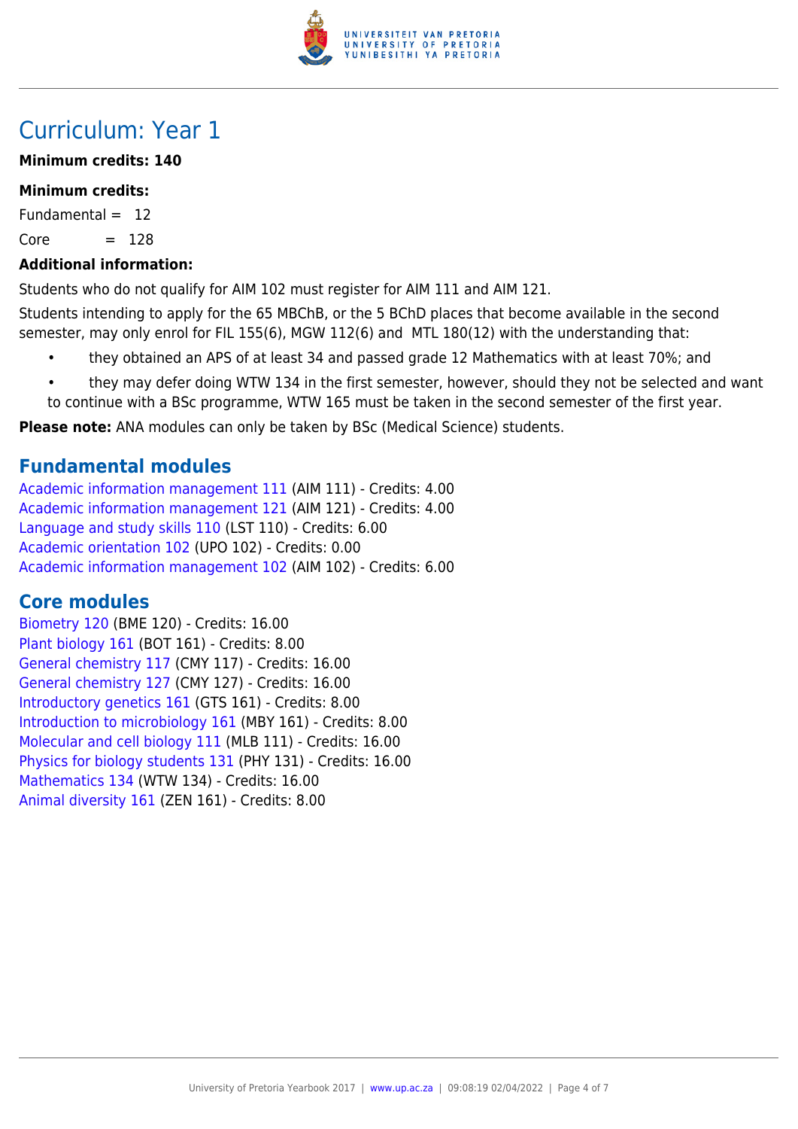

# Curriculum: Year 1

### **Minimum credits: 140**

### **Minimum credits:**

Fundamental  $= 12$ 

 $Core = 128$ 

### **Additional information:**

Students who do not qualify for AIM 102 must register for AIM 111 and AIM 121.

Students intending to apply for the 65 MBChB, or the 5 BChD places that become available in the second semester, may only enrol for FIL 155(6), MGW 112(6) and MTL 180(12) with the understanding that:

- they obtained an APS of at least 34 and passed grade 12 Mathematics with at least 70%; and
- they may defer doing WTW 134 in the first semester, however, should they not be selected and want to continue with a BSc programme, WTW 165 must be taken in the second semester of the first year.

**Please note:** ANA modules can only be taken by BSc (Medical Science) students.

### **Fundamental modules**

[Academic information management 111](https://www.up.ac.za/yearbooks/2017/modules/view/AIM 111) (AIM 111) - Credits: 4.00 [Academic information management 121](https://www.up.ac.za/yearbooks/2017/modules/view/AIM 121) (AIM 121) - Credits: 4.00 [Language and study skills 110](https://www.up.ac.za/yearbooks/2017/modules/view/LST 110) (LST 110) - Credits: 6.00 [Academic orientation 102](https://www.up.ac.za/yearbooks/2017/modules/view/UPO 102) (UPO 102) - Credits: 0.00 [Academic information management 102](https://www.up.ac.za/yearbooks/2017/modules/view/AIM 102) (AIM 102) - Credits: 6.00

### **Core modules**

[Biometry 120](https://www.up.ac.za/yearbooks/2017/modules/view/BME 120) (BME 120) - Credits: 16.00 [Plant biology 161](https://www.up.ac.za/yearbooks/2017/modules/view/BOT 161) (BOT 161) - Credits: 8.00 [General chemistry 117](https://www.up.ac.za/yearbooks/2017/modules/view/CMY 117) (CMY 117) - Credits: 16.00 [General chemistry 127](https://www.up.ac.za/yearbooks/2017/modules/view/CMY 127) (CMY 127) - Credits: 16.00 [Introductory genetics 161](https://www.up.ac.za/yearbooks/2017/modules/view/GTS 161) (GTS 161) - Credits: 8.00 [Introduction to microbiology 161](https://www.up.ac.za/yearbooks/2017/modules/view/MBY 161) (MBY 161) - Credits: 8.00 [Molecular and cell biology 111](https://www.up.ac.za/yearbooks/2017/modules/view/MLB 111) (MLB 111) - Credits: 16.00 [Physics for biology students 131](https://www.up.ac.za/yearbooks/2017/modules/view/PHY 131) (PHY 131) - Credits: 16.00 [Mathematics 134](https://www.up.ac.za/yearbooks/2017/modules/view/WTW 134) (WTW 134) - Credits: 16.00 [Animal diversity 161](https://www.up.ac.za/yearbooks/2017/modules/view/ZEN 161) (ZEN 161) - Credits: 8.00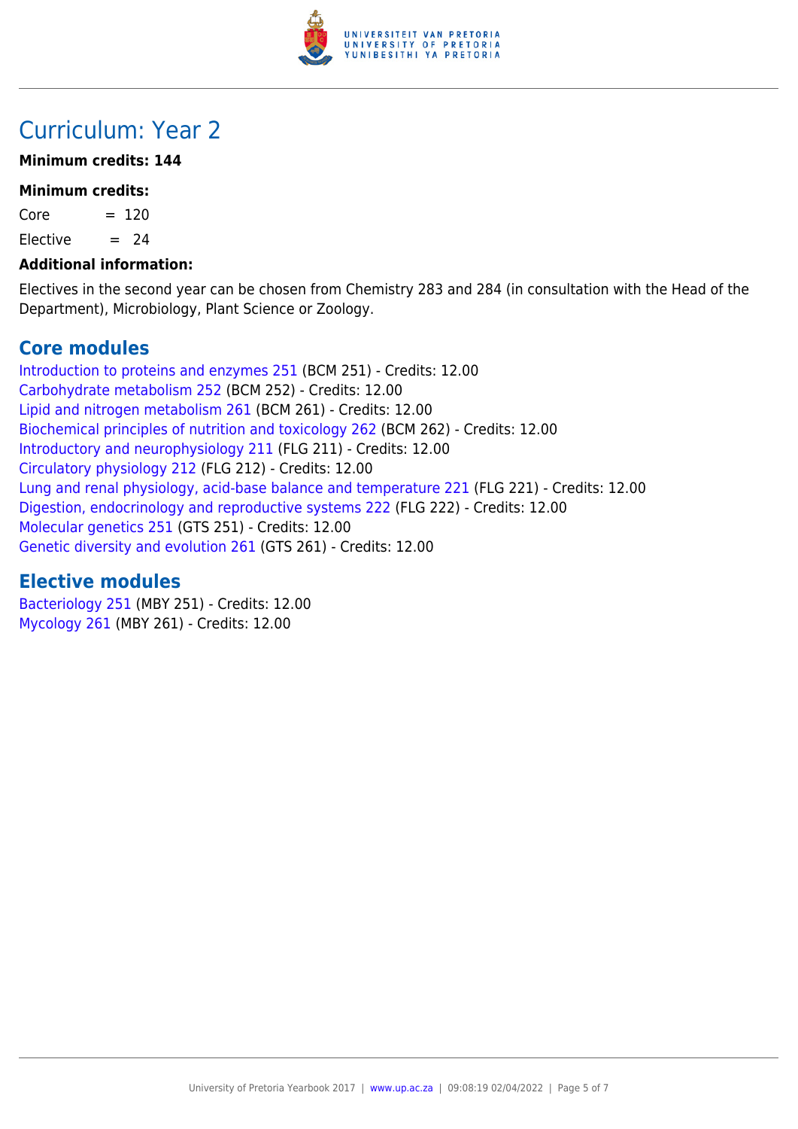

# Curriculum: Year 2

### **Minimum credits: 144**

#### **Minimum credits:**

 $Core = 120$ 

Elective  $= 24$ 

#### **Additional information:**

Electives in the second year can be chosen from Chemistry 283 and 284 (in consultation with the Head of the Department), Microbiology, Plant Science or Zoology.

### **Core modules**

[Introduction to proteins and enzymes 251](https://www.up.ac.za/yearbooks/2017/modules/view/BCM 251) (BCM 251) - Credits: 12.00 [Carbohydrate metabolism 252](https://www.up.ac.za/yearbooks/2017/modules/view/BCM 252) (BCM 252) - Credits: 12.00 [Lipid and nitrogen metabolism 261](https://www.up.ac.za/yearbooks/2017/modules/view/BCM 261) (BCM 261) - Credits: 12.00 [Biochemical principles of nutrition and toxicology 262](https://www.up.ac.za/yearbooks/2017/modules/view/BCM 262) (BCM 262) - Credits: 12.00 [Introductory and neurophysiology 211](https://www.up.ac.za/yearbooks/2017/modules/view/FLG 211) (FLG 211) - Credits: 12.00 [Circulatory physiology 212](https://www.up.ac.za/yearbooks/2017/modules/view/FLG 212) (FLG 212) - Credits: 12.00 [Lung and renal physiology, acid-base balance and temperature 221](https://www.up.ac.za/yearbooks/2017/modules/view/FLG 221) (FLG 221) - Credits: 12.00 [Digestion, endocrinology and reproductive systems 222](https://www.up.ac.za/yearbooks/2017/modules/view/FLG 222) (FLG 222) - Credits: 12.00 [Molecular genetics 251](https://www.up.ac.za/yearbooks/2017/modules/view/GTS 251) (GTS 251) - Credits: 12.00 [Genetic diversity and evolution 261](https://www.up.ac.za/yearbooks/2017/modules/view/GTS 261) (GTS 261) - Credits: 12.00

### **Elective modules**

[Bacteriology 251](https://www.up.ac.za/yearbooks/2017/modules/view/MBY 251) (MBY 251) - Credits: 12.00 [Mycology 261](https://www.up.ac.za/yearbooks/2017/modules/view/MBY 261) (MBY 261) - Credits: 12.00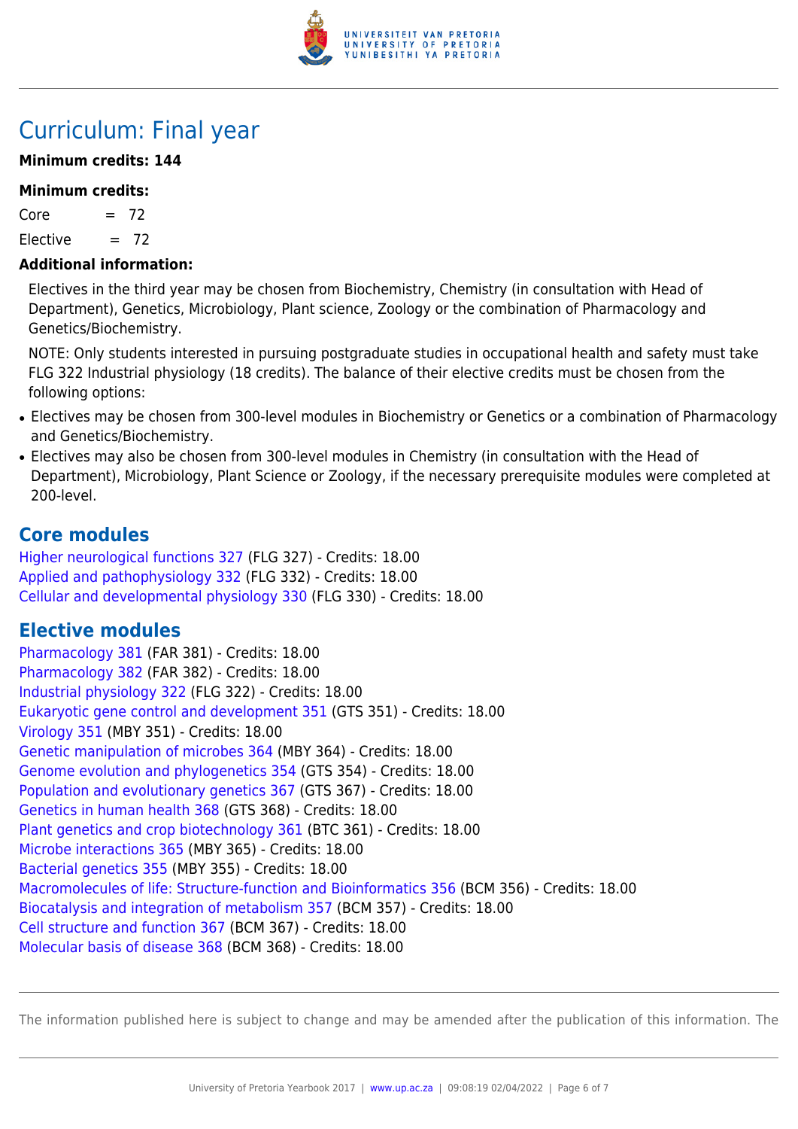

# Curriculum: Final year

### **Minimum credits: 144**

#### **Minimum credits:**

 $Core = 72$ 

Elective  $= 72$ 

#### **Additional information:**

Electives in the third year may be chosen from Biochemistry, Chemistry (in consultation with Head of Department), Genetics, Microbiology, Plant science, Zoology or the combination of Pharmacology and Genetics/Biochemistry.

NOTE: Only students interested in pursuing postgraduate studies in occupational health and safety must take FLG 322 Industrial physiology (18 credits). The balance of their elective credits must be chosen from the following options:

- Electives may be chosen from 300-level modules in Biochemistry or Genetics or a combination of Pharmacology and Genetics/Biochemistry.
- Electives may also be chosen from 300-level modules in Chemistry (in consultation with the Head of Department), Microbiology, Plant Science or Zoology, if the necessary prerequisite modules were completed at 200-level.

### **Core modules**

[Higher neurological functions 327](https://www.up.ac.za/yearbooks/2017/modules/view/FLG 327) (FLG 327) - Credits: 18.00 [Applied and pathophysiology 332](https://www.up.ac.za/yearbooks/2017/modules/view/FLG 332) (FLG 332) - Credits: 18.00 [Cellular and developmental physiology 330](https://www.up.ac.za/yearbooks/2017/modules/view/FLG 330) (FLG 330) - Credits: 18.00

### **Elective modules**

[Pharmacology 381](https://www.up.ac.za/yearbooks/2017/modules/view/FAR 381) (FAR 381) - Credits: 18.00 [Pharmacology 382](https://www.up.ac.za/yearbooks/2017/modules/view/FAR 382) (FAR 382) - Credits: 18.00 [Industrial physiology 322](https://www.up.ac.za/yearbooks/2017/modules/view/FLG 322) (FLG 322) - Credits: 18.00 [Eukaryotic gene control and development 351](https://www.up.ac.za/yearbooks/2017/modules/view/GTS 351) (GTS 351) - Credits: 18.00 [Virology 351](https://www.up.ac.za/yearbooks/2017/modules/view/MBY 351) (MBY 351) - Credits: 18.00 [Genetic manipulation of microbes 364](https://www.up.ac.za/yearbooks/2017/modules/view/MBY 364) (MBY 364) - Credits: 18.00 [Genome evolution and phylogenetics 354](https://www.up.ac.za/yearbooks/2017/modules/view/GTS 354) (GTS 354) - Credits: 18.00 [Population and evolutionary genetics 367](https://www.up.ac.za/yearbooks/2017/modules/view/GTS 367) (GTS 367) - Credits: 18.00 [Genetics in human health 368](https://www.up.ac.za/yearbooks/2017/modules/view/GTS 368) (GTS 368) - Credits: 18.00 [Plant genetics and crop biotechnology 361](https://www.up.ac.za/yearbooks/2017/modules/view/BTC 361) (BTC 361) - Credits: 18.00 [Microbe interactions 365](https://www.up.ac.za/yearbooks/2017/modules/view/MBY 365) (MBY 365) - Credits: 18.00 [Bacterial genetics 355](https://www.up.ac.za/yearbooks/2017/modules/view/MBY 355) (MBY 355) - Credits: 18.00 [Macromolecules of life: Structure-function and Bioinformatics 356](https://www.up.ac.za/yearbooks/2017/modules/view/BCM 356) (BCM 356) - Credits: 18.00 [Biocatalysis and integration of metabolism 357](https://www.up.ac.za/yearbooks/2017/modules/view/BCM 357) (BCM 357) - Credits: 18.00 [Cell structure and function 367](https://www.up.ac.za/yearbooks/2017/modules/view/BCM 367) (BCM 367) - Credits: 18.00 [Molecular basis of disease 368](https://www.up.ac.za/yearbooks/2017/modules/view/BCM 368) (BCM 368) - Credits: 18.00

The information published here is subject to change and may be amended after the publication of this information. The